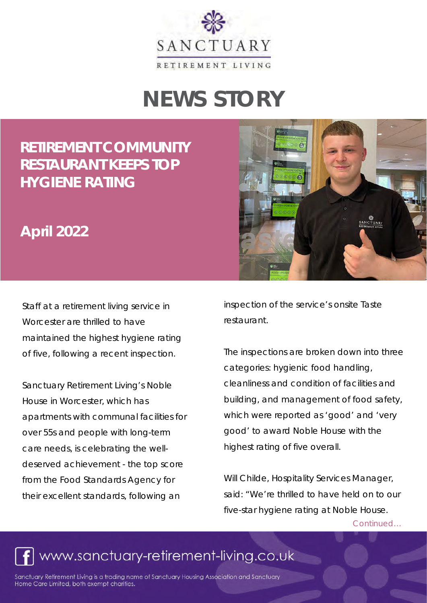

# **NEWS STORY**

### **[RETIREMENT COMMUNITY](https://www.sanctuary-retirement-living.co.uk/news-and-events/events/retirement-community-restaurant-keeps-top-hygiene-rating)  RESTAURANT KEEPS TOP HYGIENE RATING**

#### **April 2022**

Staff at a retirement living service in Worcester are thrilled to have [maintained the highest hygiene rating](https://ratings.food.gov.uk/business/en-GB/802612/Noble-House-Worcester-City)  [of five,](https://ratings.food.gov.uk/business/en-GB/802612/Noble-House-Worcester-City) following a recent inspection.

Sanctuary Retirement Living's [Noble](https://www.sanctuary-retirement-living.co.uk/retirement-properties/worcestershire/noble-house)  [House i](https://www.sanctuary-retirement-living.co.uk/retirement-properties/worcestershire/noble-house)n Worcester, which has apartments with communal facilities for over 55s and people with long-term care needs, is celebrating the welldeserved achievement - the top score from the Food Standards Agency for their excellent standards, following an



inspection of the service's onsite [Taste](https://www.sanctuary-retirement-living.co.uk/living-with-us/taste-restaurants)  [restaurant.](https://www.sanctuary-retirement-living.co.uk/living-with-us/taste-restaurants)

The inspections are broken down into three categories: hygienic food handling, cleanliness and condition of facilities and building, and management of food safety, which were reported as 'good' and 'very good' to award Noble House with the highest rating of five overall.

Will Childe, Hospitality Services Manager, said: "We're thrilled to have held on to our five-star hygiene rating at Noble House.

Continued…

## www.sanctuary-retirement-living.co.uk

Sanctuary Retirement Living is a trading name of Sanctuary Housing Association and Sanctuary Home Care Limited, both exempt charities.